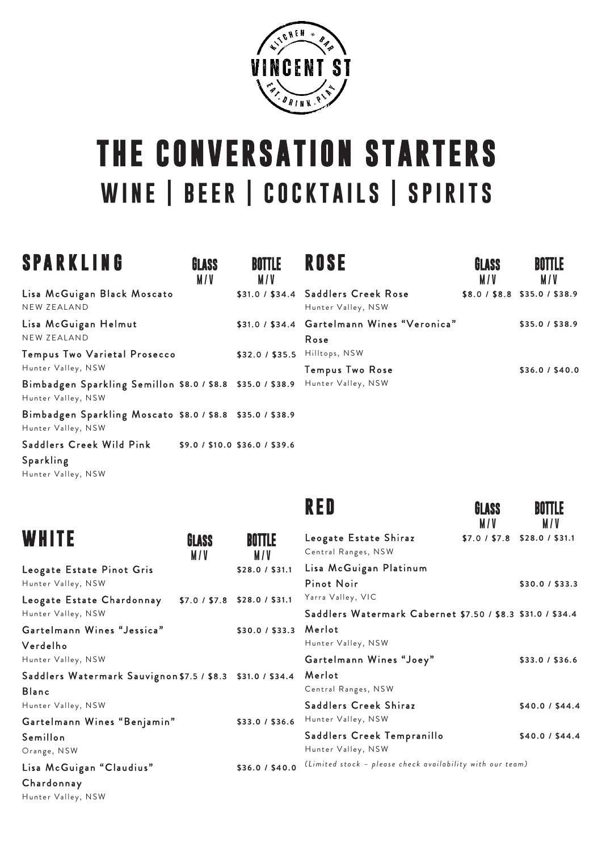

# **THE CONVERSATION STARTERS WINE | BEER | COCKTAILS | SPIRITS**

| <b>SPARKLING</b>                                                                 | GLASS<br>M/V | <b>BOTTLE</b><br>M/V           | <b>ROSE</b>                                               | <b>GLASS</b><br>M/V | <b>BOTTLE</b><br>M/V          |
|----------------------------------------------------------------------------------|--------------|--------------------------------|-----------------------------------------------------------|---------------------|-------------------------------|
| Lisa McGuigan Black Moscato<br>NEW ZEALAND                                       |              |                                | \$31.0 / \$34.4 Saddlers Creek Rose<br>Hunter Valley, NSW |                     | $$8.0 / $8.8$ \$35.0 / \$38.9 |
| Lisa McGuigan Helmut<br>NEW ZEALAND                                              |              |                                | \$31.0 / \$34.4 Gartelmann Wines "Veronica"<br>Rose       |                     | \$35.0 / \$38.9               |
| <b>Tempus Two Varietal Prosecco</b><br>Hunter Valley, NSW                        |              |                                | \$32.0 / \$35.5 Hilltops, NSW<br><b>Tempus Two Rose</b>   |                     | \$36.0 / \$40.0               |
| Bimbadgen Sparkling Semillon \$8.0 / \$8.8 \$35.0 / \$38.9<br>Hunter Valley, NSW |              |                                | Hunter Valley, NSW                                        |                     |                               |
| Bimbadgen Sparkling Moscato \$8.0 / \$8.8 \$35.0 / \$38.9<br>Hunter Valley, NSW  |              |                                |                                                           |                     |                               |
| Saddlers Creek Wild Pink                                                         |              | \$9.0 / \$10.0 \$36.0 / \$39.6 |                                                           |                     |                               |

Sparkling Hunter Valley, NSW

## **RED GLASS BOTTLE**

|                                                            |                     |                               |                                                            | MI V | MI V                          |
|------------------------------------------------------------|---------------------|-------------------------------|------------------------------------------------------------|------|-------------------------------|
| WHITE                                                      | <b>GLASS</b><br>M/V | <b>BOTTLE</b><br>M/V          | Leogate Estate Shiraz<br>Central Ranges, NSW               |      | $$7.0 / $7.8$ \$28.0 / \$31.1 |
| Leogate Estate Pinot Gris                                  |                     | \$28.0 / \$31.1               | Lisa McGuigan Platinum                                     |      |                               |
| Hunter Valley, NSW                                         |                     |                               | <b>Pinot Noir</b>                                          |      | \$30.0 / \$33.3               |
| Leogate Estate Chardonnay                                  |                     | $$7.0 / $7.8$ \$28.0 / \$31.1 | Yarra Valley, VIC                                          |      |                               |
| Hunter Valley, NSW                                         |                     |                               | Saddlers Watermark Cabernet \$7.50 / \$8.3 \$31.0 / \$34.4 |      |                               |
| Gartelmann Wines "Jessica"                                 |                     | \$30.0 / \$33.3               | Merlot                                                     |      |                               |
| Verdelho                                                   |                     |                               | Hunter Valley, NSW                                         |      |                               |
| Hunter Valley, NSW                                         |                     |                               | Gartelmann Wines "Joey"                                    |      | \$33.0 / \$36.6               |
| Saddlers Watermark Sauvignon \$7.5 / \$8.3 \$31.0 / \$34.4 |                     |                               | Merlot                                                     |      |                               |
| <b>Blanc</b>                                               |                     |                               | Central Ranges, NSW                                        |      |                               |
| Hunter Valley, NSW                                         |                     |                               | Saddlers Creek Shiraz                                      |      | \$40.0 / \$44.4               |
| Gartelmann Wines "Benjamin"                                |                     | \$33.0 / \$36.6               | Hunter Valley, NSW                                         |      |                               |
| Semillon                                                   |                     |                               | Saddlers Creek Tempranillo                                 |      | \$40.0 / \$44.4               |
| Orange, NSW                                                |                     |                               | Hunter Valley, NSW                                         |      |                               |
| Lisa McGuigan "Claudius"                                   |                     | \$36.0 / \$40.0               | (Limited stock - please check availability with our team)  |      |                               |
| Chardonnay                                                 |                     |                               |                                                            |      |                               |

Hunter Valley, NSW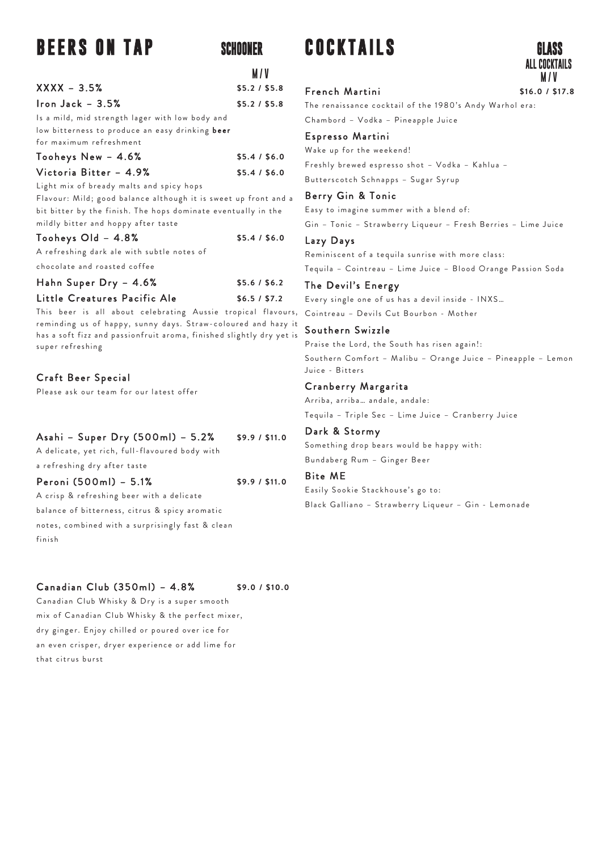## **BEERS ON TAP SCHOONER**

|                                                                      | M/V           |
|----------------------------------------------------------------------|---------------|
| $XXX - 3.5%$                                                         | \$5.2 / \$5.8 |
| $lron Jack - 3.5%$                                                   | \$5.2 / \$5.8 |
| Is a mild, mid strength lager with low body and                      |               |
| low bitterness to produce an easy drinking beer                      |               |
| for maximum refreshment                                              |               |
| Tooheys New - 4.6%                                                   | \$5.4/\$6.0   |
| Victoria Bitter - 4.9%                                               | \$5.4/\$6.0   |
| Light mix of bready malts and spicy hops                             |               |
| Flavour: Mild; good balance although it is sweet up front and a      |               |
| bit bitter by the finish. The hops dominate eventually in the        |               |
| mildly bitter and hoppy after taste                                  |               |
| Tooheys Old - 4.8%                                                   | \$5.4 / \$6.0 |
| A refreshing dark ale with subtle notes of                           |               |
| chocolate and roasted coffee                                         |               |
| Hahn Super Dry - 4.6%                                                | \$5.6/\$6.2   |
| Little Creatures Pacific Ale                                         | \$6.5 / \$7.2 |
| This beer is all about celebrating Aussie tropical flavours,         |               |
| reminding us of happy, sunny days. Straw-coloured and hazy it        |               |
| has a soft fizz and passionfruit aroma, finished slightly dry yet is |               |
| super refreshing                                                     |               |
|                                                                      |               |

#### Craft Beer Special

Please ask our team for our latest offer

#### Asahi – Super Dry (500ml) – 5.2% **\$9.9 / \$11.0**

A delicate, yet rich, full - flavoured body with a refreshing dry after taste

#### Peroni (500ml) – 5.1% **\$9.9 / \$11.0**

A crisp & refreshing beer with a delicate balance of bitterness, citrus & spicy aromatic notes, combined with a surprisingly fast & clean finish

#### Canadian Club (350ml) – 4.8% **\$9.0 / \$10.0**

Canadian Club Whisky & Dry is a super smooth mix of Canadian Club Whisky & the perfect mixer, dry ginger. Enjoy chilled or poured over ice for an even crisper, dryer experience or add lime for that citrus burst

## **COCKTAILS GLASS**



#### French Martini **\$1 6.0 / \$17.8**

The renaissance cocktail of the 1980's Andy Warhol era :

Chambord – Vodka – Pineapple Juice

#### Espresso Martini

Wake up for the weekend!

Freshly brewed espresso shot – Vodka – Kahlua – Butterscotch Schnapps – Sugar Syrup

#### Berry Gin & Tonic

Easy to imagine summer with a blend of: Gin – Tonic – Strawberry Liqueur – Fresh Berries – Lime Juice

#### Lazy Days

Reminiscent of a tequila sunrise with more class:

Tequila – Cointreau – Lime Juice – Blood Orange Passion Soda

#### The Devil's Energy

Every single one of us has a devil inside - INXS…

Cointreau – Devils Cut Bourbon - Mother

### <sup>zy it</sup> Southern Swizzle

Praise the Lord, the South has risen again!: Southern Comfort – Malibu – Orange Juice – Pineapple – Lemon Juice - Bitters

#### Cranberry Margarita

Arriba, arriba… andale, andale : Tequila – Triple Sec – Lime Juice – Cranberry Juice

#### Dark & Stormy

Something drop bears would be happy with: Bundaberg Rum – Ginger Beer

#### Bite ME

Easily Sookie Stackhouse's go to: Black Galliano – Strawberry Liqueur – Gin - Lemonade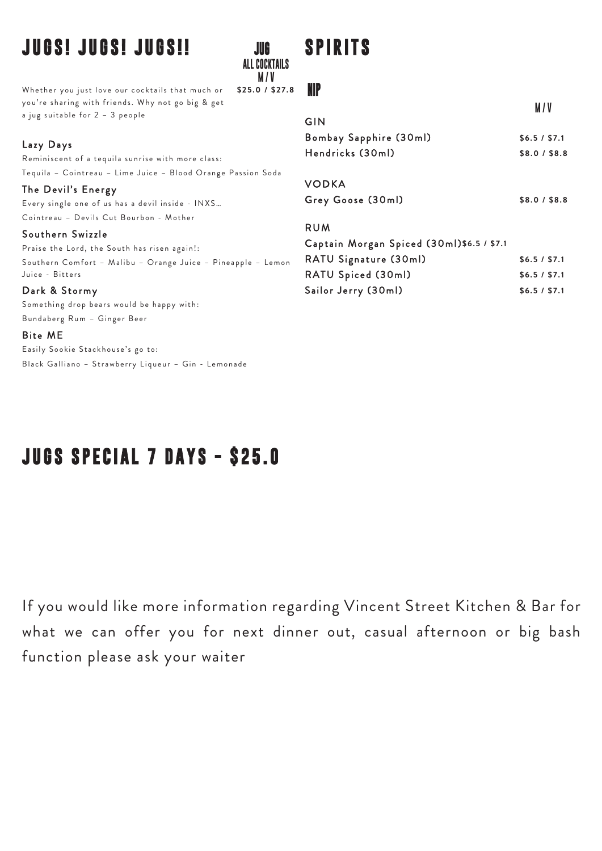## **JUGS! JUGS! JUGS!! JUG**

 $M/V$ <br> $$25.0 / $27.8$ Whether you just love our cocktails that much or you're sharing with friends. Why not go big & get a jug suitable for 2 – 3 people

### Lazy Days

Reminiscent of a tequila sunrise with more class: Tequila – Cointreau – Lime Juice – Blood Orange Passion Soda

The Devil's Energy

Every single one of us has a devil inside - INXS… Cointreau – Devils Cut Bourbon - Mother

Southern Swizzle Praise the Lord, the South has risen again!: Southern Comfort – Malibu – Orange Juice – Pineapple – Lemon Juice - Bitters

#### Dark & Stormy

Something drop bears would be happy with: Bundaberg Rum – Ginger Beer

#### Bite ME

Easily Sookie Stackhouse's go to: Black Galliano - Strawberry Liqueur - Gin - Lemonade

### **NIP**

**SPIRITS** 

 **ALL COCKTAILS**

|                                            | M/V           |
|--------------------------------------------|---------------|
| GIN                                        |               |
| <b>Bombay Sapphire (30ml)</b>              | \$6.5 / \$7.1 |
| Hendricks (30ml)                           | \$8.0 / \$8.8 |
| <b>VODKA</b>                               |               |
| Grey Goose (30ml)                          | \$8.0 / \$8.8 |
| RUM                                        |               |
| Captain Morgan Spiced (30ml) \$6.5 / \$7.1 |               |
| RATU Signature (30ml)                      | \$6.5/\$7.1   |
| RATU Spiced (30ml)                         | \$6.5 / \$7.1 |
| Sailor Jerry (30ml)                        | \$6.5/\$7.1   |

### **JUGS SPECIAL 7 DAYS - \$25.0**

If you would like more information regarding Vincent Street Kitchen & Bar for what we can offer you for next dinner out, casual afternoon or big bash function please ask your waiter